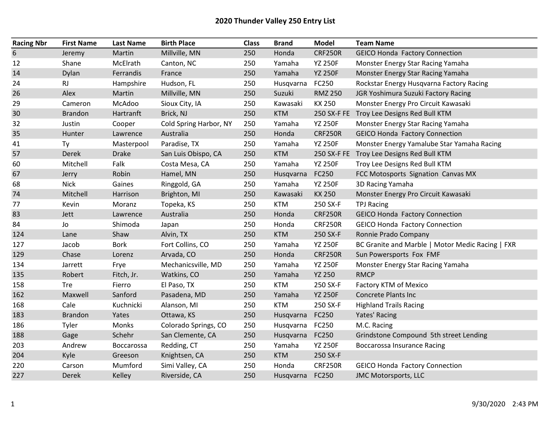## 2020 Thunder Valley 250 Entry List

| <b>Racing Nbr</b> | <b>First Name</b> | <b>Last Name</b> | <b>Birth Place</b>     | <b>Class</b> | <b>Brand</b>    | <b>Model</b>   | <b>Team Name</b>                                 |
|-------------------|-------------------|------------------|------------------------|--------------|-----------------|----------------|--------------------------------------------------|
| 6                 | Jeremy            | Martin           | Millville, MN          | 250          | Honda           | <b>CRF250R</b> | <b>GEICO Honda Factory Connection</b>            |
| 12                | Shane             | McElrath         | Canton, NC             | 250          | Yamaha          | <b>YZ 250F</b> | Monster Energy Star Racing Yamaha                |
| 14                | Dylan             | Ferrandis        | France                 | 250          | Yamaha          | <b>YZ 250F</b> | Monster Energy Star Racing Yamaha                |
| 24                | RJ                | Hampshire        | Hudson, FL             | 250          | Husqvarna       | FC250          | Rockstar Energy Husqvarna Factory Racing         |
| 26                | Alex              | Martin           | Millville, MN          | 250          | Suzuki          | <b>RMZ 250</b> | JGR Yoshimura Suzuki Factory Racing              |
| 29                | Cameron           | McAdoo           | Sioux City, IA         | 250          | Kawasaki        | KX 250         | Monster Energy Pro Circuit Kawasaki              |
| 30                | <b>Brandon</b>    | Hartranft        | Brick, NJ              | 250          | <b>KTM</b>      |                | 250 SX-F FE Troy Lee Designs Red Bull KTM        |
| 32                | Justin            | Cooper           | Cold Spring Harbor, NY | 250          | Yamaha          | <b>YZ 250F</b> | Monster Energy Star Racing Yamaha                |
| 35                | Hunter            | Lawrence         | Australia              | 250          | Honda           | <b>CRF250R</b> | <b>GEICO Honda Factory Connection</b>            |
| 41                | Ty                | Masterpool       | Paradise, TX           | 250          | Yamaha          | <b>YZ 250F</b> | Monster Energy Yamalube Star Yamaha Racing       |
| 57                | Derek             | <b>Drake</b>     | San Luis Obispo, CA    | 250          | <b>KTM</b>      | 250 SX-F FE    | Troy Lee Designs Red Bull KTM                    |
| 60                | Mitchell          | Falk             | Costa Mesa, CA         | 250          | Yamaha          | <b>YZ 250F</b> | Troy Lee Designs Red Bull KTM                    |
| 67                | Jerry             | Robin            | Hamel, MN              | 250          | Husqvarna       | FC250          | FCC Motosports Signation Canvas MX               |
| 68                | <b>Nick</b>       | Gaines           | Ringgold, GA           | 250          | Yamaha          | <b>YZ 250F</b> | 3D Racing Yamaha                                 |
| 74                | Mitchell          | Harrison         | Brighton, MI           | 250          | Kawasaki        | <b>KX 250</b>  | Monster Energy Pro Circuit Kawasaki              |
| 77                | Kevin             | Moranz           | Topeka, KS             | 250          | <b>KTM</b>      | 250 SX-F       | <b>TPJ Racing</b>                                |
| 83                | Jett              | Lawrence         | Australia              | 250          | Honda           | <b>CRF250R</b> | <b>GEICO Honda Factory Connection</b>            |
| 84                | Jo                | Shimoda          | Japan                  | 250          | Honda           | <b>CRF250R</b> | <b>GEICO Honda Factory Connection</b>            |
| 124               | Lane              | Shaw             | Alvin, TX              | 250          | <b>KTM</b>      | 250 SX-F       | Ronnie Prado Company                             |
| 127               | Jacob             | <b>Bork</b>      | Fort Collins, CO       | 250          | Yamaha          | <b>YZ 250F</b> | BC Granite and Marble   Motor Medic Racing   FXR |
| 129               | Chase             | Lorenz           | Arvada, CO             | 250          | Honda           | <b>CRF250R</b> | Sun Powersports Fox FMF                          |
| 134               | Jarrett           | Frye             | Mechanicsville, MD     | 250          | Yamaha          | <b>YZ 250F</b> | Monster Energy Star Racing Yamaha                |
| 135               | Robert            | Fitch, Jr.       | Watkins, CO            | 250          | Yamaha          | <b>YZ 250</b>  | <b>RMCP</b>                                      |
| 158               | Tre               | Fierro           | El Paso, TX            | 250          | <b>KTM</b>      | 250 SX-F       | Factory KTM of Mexico                            |
| 162               | Maxwell           | Sanford          | Pasadena, MD           | 250          | Yamaha          | <b>YZ 250F</b> | <b>Concrete Plants Inc</b>                       |
| 168               | Cale              | Kuchnicki        | Alanson, MI            | 250          | <b>KTM</b>      | 250 SX-F       | <b>Highland Trails Racing</b>                    |
| 183               | <b>Brandon</b>    | Yates            | Ottawa, KS             | 250          | Husqvarna       | FC250          | Yates' Racing                                    |
| 186               | Tyler             | Monks            | Colorado Springs, CO   | 250          | Husqvarna       | FC250          | M.C. Racing                                      |
| 188               | Gage              | Schehr           | San Clemente, CA       | 250          | Husqvarna FC250 |                | Grindstone Compound 5th street Lending           |
| 203               | Andrew            | Boccarossa       | Redding, CT            | 250          | Yamaha          | <b>YZ 250F</b> | <b>Boccarossa Insurance Racing</b>               |
| 204               | Kyle              | Greeson          | Knightsen, CA          | 250          | <b>KTM</b>      | 250 SX-F       |                                                  |
| 220               | Carson            | Mumford          | Simi Valley, CA        | 250          | Honda           | <b>CRF250R</b> | <b>GEICO Honda Factory Connection</b>            |
| 227               | <b>Derek</b>      | Kelley           | Riverside, CA          | 250          | Husqvarna       | <b>FC250</b>   | <b>JMC Motorsports, LLC</b>                      |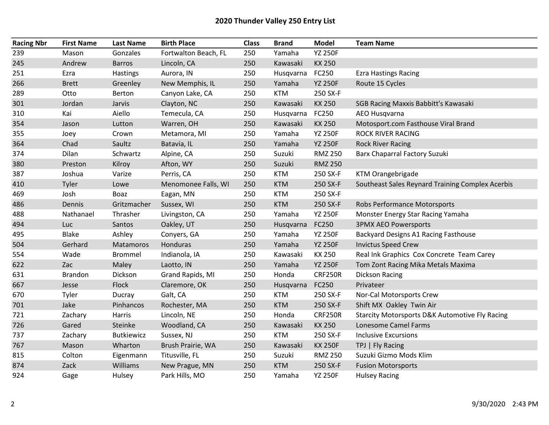## 2020 Thunder Valley 250 Entry List

| <b>Racing Nbr</b> | <b>First Name</b> | <b>Last Name</b>  | <b>Birth Place</b>   | <b>Class</b> | <b>Brand</b> | <b>Model</b>   | <b>Team Name</b>                                          |
|-------------------|-------------------|-------------------|----------------------|--------------|--------------|----------------|-----------------------------------------------------------|
| 239               | Mason             | Gonzales          | Fortwalton Beach, FL | 250          | Yamaha       | <b>YZ 250F</b> |                                                           |
| 245               | Andrew            | <b>Barros</b>     | Lincoln, CA          | 250          | Kawasaki     | KX 250         |                                                           |
| 251               | Ezra              | Hastings          | Aurora, IN           | 250          | Husqvarna    | FC250          | <b>Ezra Hastings Racing</b>                               |
| 266               | <b>Brett</b>      | Greenley          | New Memphis, IL      | 250          | Yamaha       | <b>YZ 250F</b> | Route 15 Cycles                                           |
| 289               | Otto              | Berton            | Canyon Lake, CA      | 250          | <b>KTM</b>   | 250 SX-F       |                                                           |
| 301               | Jordan            | Jarvis            | Clayton, NC          | 250          | Kawasaki     | KX 250         | SGB Racing Maxxis Babbitt's Kawasaki                      |
| 310               | Kai               | Aiello            | Temecula, CA         | 250          | Husqvarna    | FC250          | AEO Husqvarna                                             |
| 354               | Jason             | Lutton            | Warren, OH           | 250          | Kawasaki     | KX 250         | Motosport.com Fasthouse Viral Brand                       |
| 355               | Joey              | Crown             | Metamora, MI         | 250          | Yamaha       | <b>YZ 250F</b> | <b>ROCK RIVER RACING</b>                                  |
| 364               | Chad              | Saultz            | Batavia, IL          | 250          | Yamaha       | <b>YZ 250F</b> | <b>Rock River Racing</b>                                  |
| 374               | Dilan             | Schwartz          | Alpine, CA           | 250          | Suzuki       | <b>RMZ 250</b> | Barx Chaparral Factory Suzuki                             |
| 380               | Preston           | Kilroy            | Afton, WY            | 250          | Suzuki       | <b>RMZ 250</b> |                                                           |
| 387               | Joshua            | Varize            | Perris, CA           | 250          | <b>KTM</b>   | 250 SX-F       | KTM Orangebrigade                                         |
| 410               | Tyler             | Lowe              | Menomonee Falls, WI  | 250          | <b>KTM</b>   | 250 SX-F       | Southeast Sales Reynard Training Complex Acerbis          |
| 469               | Josh              | Boaz              | Eagan, MN            | 250          | <b>KTM</b>   | 250 SX-F       |                                                           |
| 486               | Dennis            | Gritzmacher       | Sussex, WI           | 250          | <b>KTM</b>   | 250 SX-F       | Robs Performance Motorsports                              |
| 488               | Nathanael         | Thrasher          | Livingston, CA       | 250          | Yamaha       | <b>YZ 250F</b> | Monster Energy Star Racing Yamaha                         |
| 494               | Luc               | Santos            | Oakley, UT           | 250          | Husqvarna    | FC250          | <b>3PMX AEO Powersports</b>                               |
| 495               | <b>Blake</b>      | Ashley            | Conyers, GA          | 250          | Yamaha       | <b>YZ 250F</b> | Backyard Designs A1 Racing Fasthouse                      |
| 504               | Gerhard           | Matamoros         | Honduras             | 250          | Yamaha       | <b>YZ 250F</b> | <b>Invictus Speed Crew</b>                                |
| 554               | Wade              | <b>Brommel</b>    | Indianola, IA        | 250          | Kawasaki     | KX 250         | Real Ink Graphics Cox Concrete Team Carey                 |
| 622               | Zac               | Maley             | Laotto, IN           | 250          | Yamaha       | <b>YZ 250F</b> | Tom Zont Racing Mika Metals Maxima                        |
| 631               | <b>Brandon</b>    | Dickson           | Grand Rapids, MI     | 250          | Honda        | <b>CRF250R</b> | <b>Dickson Racing</b>                                     |
| 667               | Jesse             | Flock             | Claremore, OK        | 250          | Husqvarna    | FC250          | Privateer                                                 |
| 670               | Tyler             | Ducray            | Galt, CA             | 250          | <b>KTM</b>   | 250 SX-F       | Nor-Cal Motorsports Crew                                  |
| 701               | Jake              | Pinhancos         | Rochester, MA        | 250          | <b>KTM</b>   | 250 SX-F       | Shift MX Oakley Twin Air                                  |
| 721               | Zachary           | Harris            | Lincoln, NE          | 250          | Honda        | <b>CRF250R</b> | <b>Starcity Motorsports D&amp;K Automotive Fly Racing</b> |
| 726               | Gared             | Steinke           | Woodland, CA         | 250          | Kawasaki     | KX 250         | Lonesome Camel Farms                                      |
| 737               | Zachary           | <b>Butkiewicz</b> | Sussex, NJ           | 250          | <b>KTM</b>   | 250 SX-F       | <b>Inclusive Excursions</b>                               |
| 767               | Mason             | Wharton           | Brush Prairie, WA    | 250          | Kawasaki     | <b>KX 250F</b> | TPJ   Fly Racing                                          |
| 815               | Colton            | Eigenmann         | Titusville, FL       | 250          | Suzuki       | <b>RMZ 250</b> | Suzuki Gizmo Mods Klim                                    |
| 874               | Zack              | <b>Williams</b>   | New Prague, MN       | 250          | <b>KTM</b>   | 250 SX-F       | <b>Fusion Motorsports</b>                                 |
| 924               | Gage              | Hulsey            | Park Hills, MO       | 250          | Yamaha       | <b>YZ 250F</b> | <b>Hulsey Racing</b>                                      |